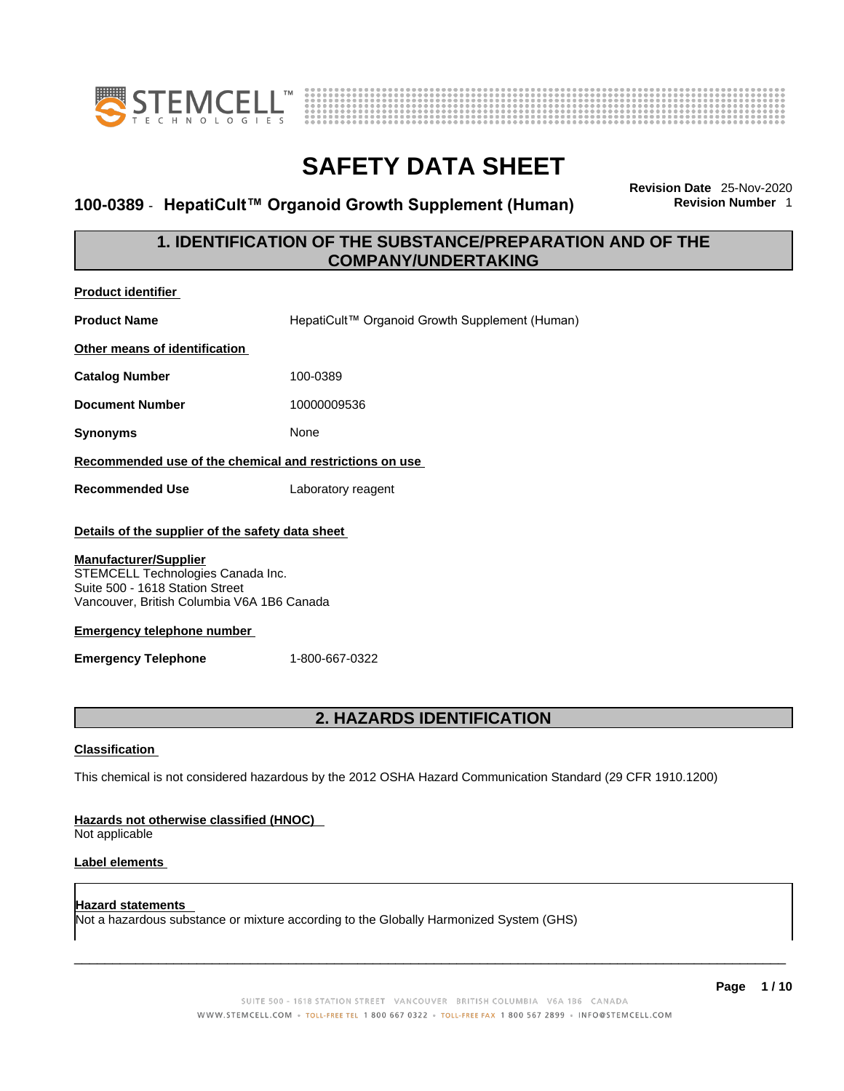



### **100-0389** - **HepatiCult™ Organoid Growth Supplement (Human) Revision Number** 1

**Revision Date** 25-Nov-2020

### **1. IDENTIFICATION OF THE SUBSTANCE/PREPARATION AND OF THE COMPANY/UNDERTAKING**

| <b>Product identifier</b>                                                                                                                          |                                                                                                             |  |  |
|----------------------------------------------------------------------------------------------------------------------------------------------------|-------------------------------------------------------------------------------------------------------------|--|--|
| <b>Product Name</b>                                                                                                                                | HepatiCult™ Organoid Growth Supplement (Human)                                                              |  |  |
| Other means of identification                                                                                                                      |                                                                                                             |  |  |
| <b>Catalog Number</b>                                                                                                                              | 100-0389                                                                                                    |  |  |
| <b>Document Number</b>                                                                                                                             | 10000009536                                                                                                 |  |  |
| <b>Synonyms</b>                                                                                                                                    | None                                                                                                        |  |  |
| Recommended use of the chemical and restrictions on use                                                                                            |                                                                                                             |  |  |
| <b>Recommended Use</b>                                                                                                                             | Laboratory reagent                                                                                          |  |  |
| Details of the supplier of the safety data sheet                                                                                                   |                                                                                                             |  |  |
| <b>Manufacturer/Supplier</b><br>STEMCELL Technologies Canada Inc.<br>Suite 500 - 1618 Station Street<br>Vancouver, British Columbia V6A 1B6 Canada |                                                                                                             |  |  |
| <b>Emergency telephone number</b>                                                                                                                  |                                                                                                             |  |  |
| <b>Emergency Telephone</b>                                                                                                                         | 1-800-667-0322                                                                                              |  |  |
|                                                                                                                                                    |                                                                                                             |  |  |
|                                                                                                                                                    | <b>2. HAZARDS IDENTIFICATION</b>                                                                            |  |  |
| <b>Classification</b>                                                                                                                              |                                                                                                             |  |  |
|                                                                                                                                                    | This chemical is not considered hazardous by the 2012 OSHA Hazard Communication Standard (29 CFR 1910.1200) |  |  |

#### **Hazards not otherwise classified (HNOC)**

Not applicable

#### **Label elements**

**Hazard statements**  Not a hazardous substance or mixture according to the Globally Harmonized System (GHS)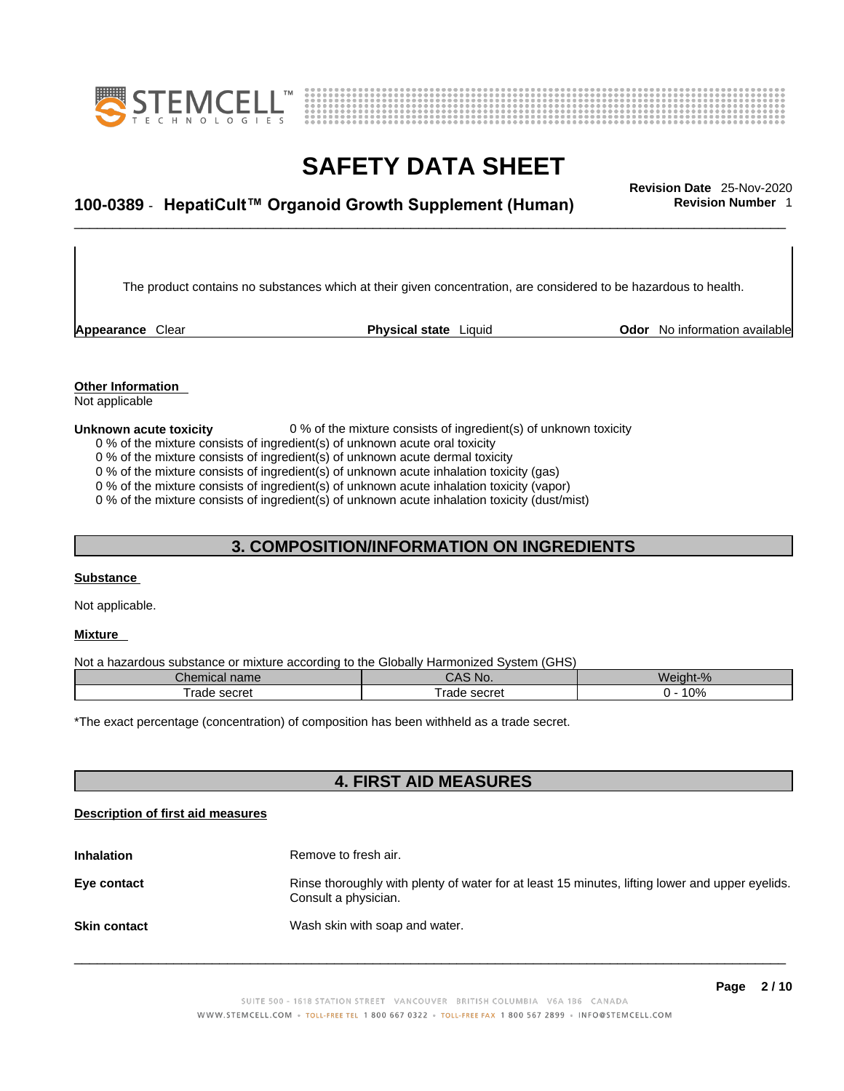



## \_\_\_\_\_\_\_\_\_\_\_\_\_\_\_\_\_\_\_\_\_\_\_\_\_\_\_\_\_\_\_\_\_\_\_\_\_\_\_\_\_\_\_\_\_\_\_\_\_\_\_\_\_\_\_\_\_\_\_\_\_\_\_\_\_\_\_\_\_\_\_\_\_\_\_\_\_\_\_\_\_\_\_\_\_\_\_\_\_\_\_\_\_ **Revision Date** 25-Nov-2020 **100-0389** - **HepatiCult™ Organoid Growth Supplement (Human) Revision Number** 1

The product contains no substances which at their given concentration, are considered to be hazardous to health.

**Appearance** Clear **Physical state Liquid Codor No information available Appearance** Clear

**Other Information** 

Not applicable

#### **Unknown acute toxicity** 0 % of the mixture consists of ingredient(s) of unknown toxicity

0 % of the mixture consists of ingredient(s) of unknown acute oral toxicity

0 % of the mixture consists of ingredient(s) of unknown acute dermal toxicity

0 % of the mixture consists of ingredient(s) of unknown acute inhalation toxicity (gas)

0 % of the mixture consists of ingredient(s) of unknown acute inhalation toxicity (vapor)

0 % of the mixture consists of ingredient(s) of unknown acute inhalation toxicity (dust/mist)

### **3. COMPOSITION/INFORMATION ON INGREDIENTS**

#### **Substance**

Not applicable.

#### **Mixture**

Not a hazardous substance or mixture according to the Globally Harmonized System (GHS)

| ~<br>Chemical name | CAS N0.                       | Weight-% |
|--------------------|-------------------------------|----------|
| ™rade<br>secret    | secret `<br><sup>t</sup> rade | 0%       |

\*The exact percentage (concentration) of composition has been withheld as a trade secret.

#### **4. FIRST AID MEASURES**

#### **Description of first aid measures**

| <b>Inhalation</b>   | Remove to fresh air.                                                                                                    |
|---------------------|-------------------------------------------------------------------------------------------------------------------------|
| Eye contact         | Rinse thoroughly with plenty of water for at least 15 minutes, lifting lower and upper eyelids.<br>Consult a physician. |
| <b>Skin contact</b> | Wash skin with soap and water.                                                                                          |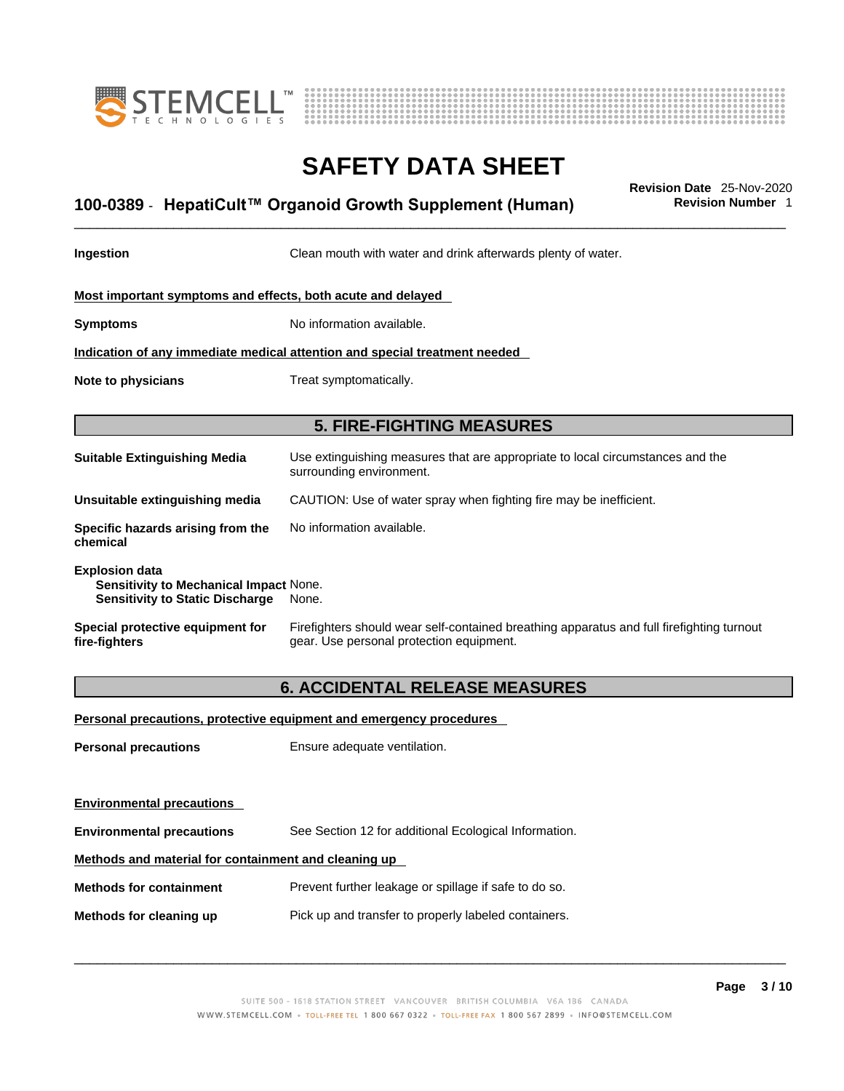



## \_\_\_\_\_\_\_\_\_\_\_\_\_\_\_\_\_\_\_\_\_\_\_\_\_\_\_\_\_\_\_\_\_\_\_\_\_\_\_\_\_\_\_\_\_\_\_\_\_\_\_\_\_\_\_\_\_\_\_\_\_\_\_\_\_\_\_\_\_\_\_\_\_\_\_\_\_\_\_\_\_\_\_\_\_\_\_\_\_\_\_\_\_ **Revision Date** 25-Nov-2020 **100-0389** - **HepatiCult™ Organoid Growth Supplement (Human) Revision Number** 1

**Ingestion Clean mouth with water and drink afterwards plenty of water.** 

#### **Most important symptoms and effects, both acute and delayed**

**Symptoms** No information available.

**Indication of any immediate medical attention and special treatment needed**

**Note to physicians** Treat symptomatically.

#### **5. FIRE-FIGHTING MEASURES**

| <b>Suitable Extinguishing Media</b>                                                                              | Use extinguishing measures that are appropriate to local circumstances and the<br>surrounding environment. |
|------------------------------------------------------------------------------------------------------------------|------------------------------------------------------------------------------------------------------------|
| Unsuitable extinguishing media                                                                                   | CAUTION: Use of water spray when fighting fire may be inefficient.                                         |
| Specific hazards arising from the<br>chemical                                                                    | No information available.                                                                                  |
| <b>Explosion data</b><br><b>Sensitivity to Mechanical Impact None.</b><br><b>Sensitivity to Static Discharge</b> | None.                                                                                                      |

#### **Special protective equipment for fire-fighters** Firefighters should wear self-contained breathing apparatus and full firefighting turnout gear. Use personal protection equipment.

#### **6. ACCIDENTAL RELEASE MEASURES**

#### **Personal precautions, protective equipment and emergency procedures**

**Personal precautions** Ensure adequate ventilation.

**Environmental precautions** 

**Environmental precautions** See Section 12 for additional Ecological Information.

#### **Methods and material for containment and cleaning up**

**Methods for containment** Prevent further leakage or spillage if safe to do so.

**Methods for cleaning up** Pick up and transfer to properly labeled containers.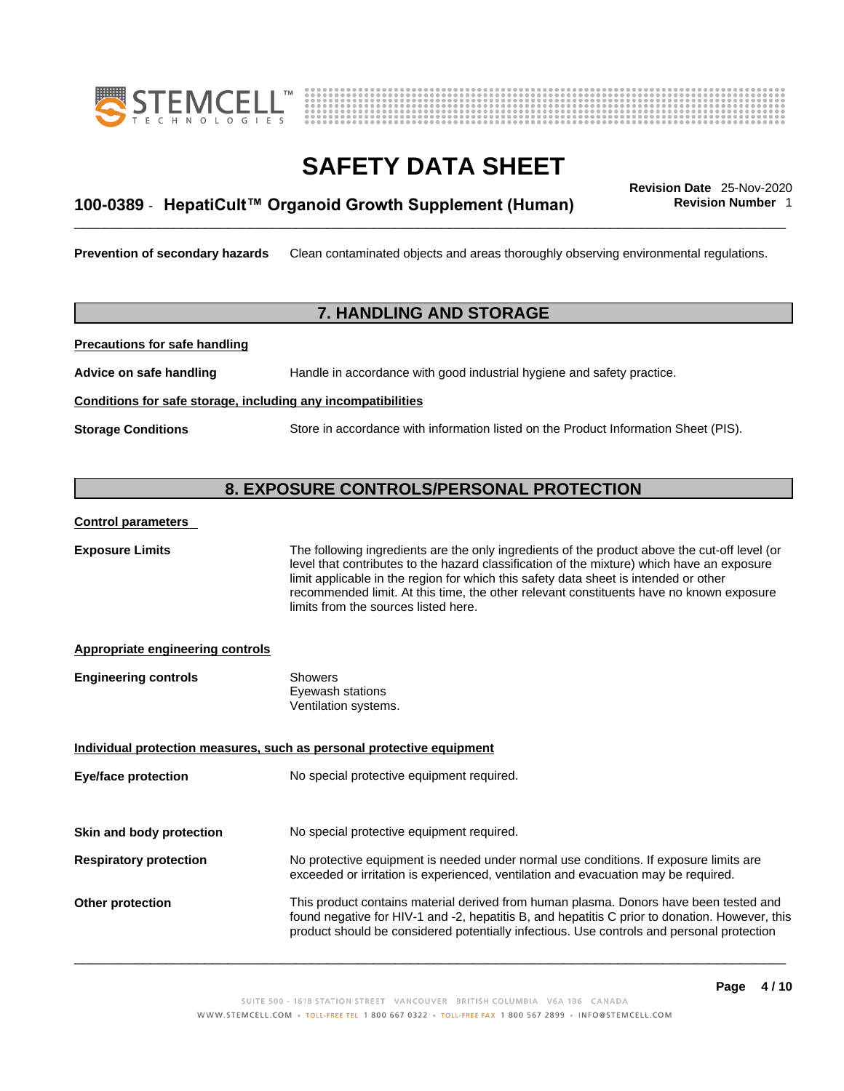



## \_\_\_\_\_\_\_\_\_\_\_\_\_\_\_\_\_\_\_\_\_\_\_\_\_\_\_\_\_\_\_\_\_\_\_\_\_\_\_\_\_\_\_\_\_\_\_\_\_\_\_\_\_\_\_\_\_\_\_\_\_\_\_\_\_\_\_\_\_\_\_\_\_\_\_\_\_\_\_\_\_\_\_\_\_\_\_\_\_\_\_\_\_ **Revision Date** 25-Nov-2020 **100-0389** - **HepatiCult™ Organoid Growth Supplement (Human) Revision Number** 1

**Prevention of secondary hazards** Clean contaminated objects and areas thoroughly observing environmental regulations.

### **7. HANDLING AND STORAGE**

**Precautions for safe handling**

**Advice on safe handling** Handle in accordance with good industrial hygiene and safety practice.

#### **Conditions for safe storage, including any incompatibilities**

**Storage Conditions** Store in accordance with information listed on the Product Information Sheet (PIS).

#### **8. EXPOSURE CONTROLS/PERSONAL PROTECTION**

#### **Control parameters**

**Exposure Limits** The following ingredients are the only ingredients of the product above the cut-off level (or level that contributes to the hazard classification of the mixture) which have an exposure limit applicable in the region for which this safety data sheet is intended or other recommended limit. At this time, the other relevant constituents have no known exposure limits from the sources listed here.

#### **Appropriate engineering controls**

| <b>Engineering controls</b> | Showers              |  |
|-----------------------------|----------------------|--|
|                             | Eyewash stations     |  |
|                             | Ventilation systems. |  |

**Individual protection measures, such as personal protective equipment Eye/face protection** No special protective equipment required.

**Skin and body protection** No special protective equipment required.

- **Respiratory protection** No protective equipment is needed under normal use conditions. If exposure limits are exceeded or irritation is experienced, ventilation and evacuation may be required.
- **Other protection** This product contains material derived from human plasma. Donors have been tested and found negative for HIV-1 and -2, hepatitis B, and hepatitis C prior to donation. However, this product should be considered potentially infectious. Use controls and personal protection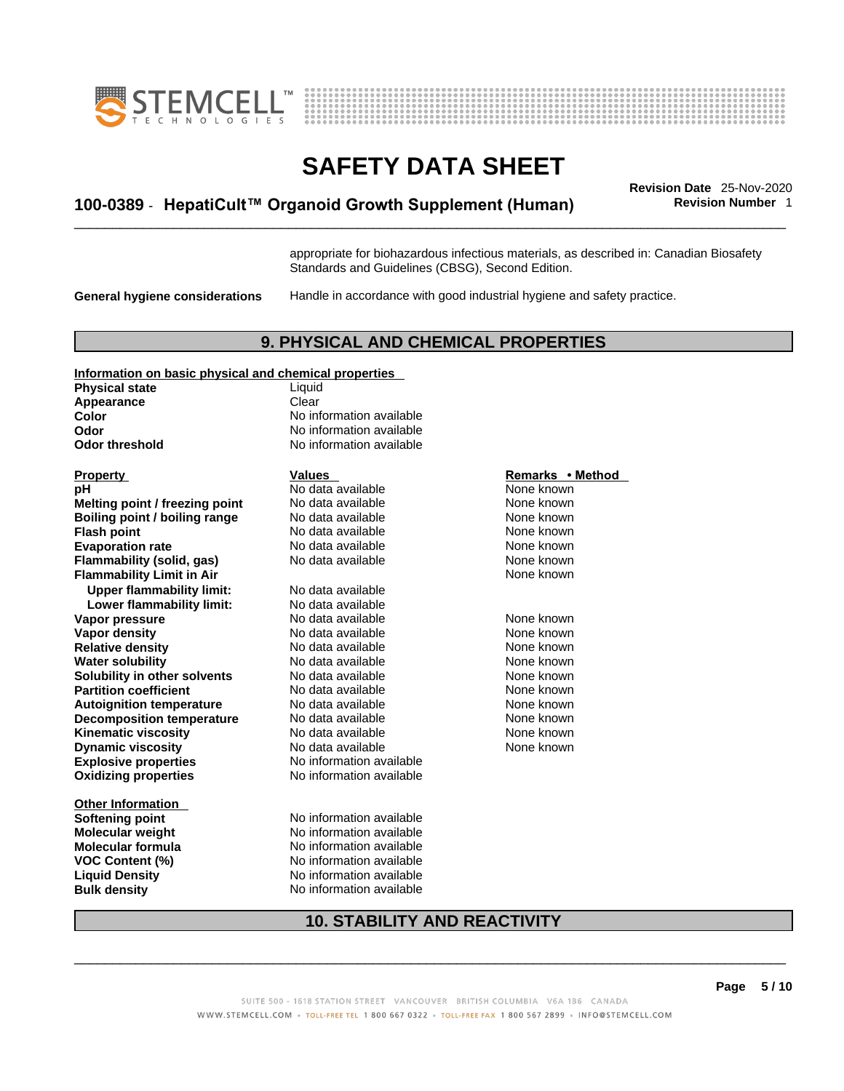



## \_\_\_\_\_\_\_\_\_\_\_\_\_\_\_\_\_\_\_\_\_\_\_\_\_\_\_\_\_\_\_\_\_\_\_\_\_\_\_\_\_\_\_\_\_\_\_\_\_\_\_\_\_\_\_\_\_\_\_\_\_\_\_\_\_\_\_\_\_\_\_\_\_\_\_\_\_\_\_\_\_\_\_\_\_\_\_\_\_\_\_\_\_ **Revision Date** 25-Nov-2020 **100-0389** - **HepatiCult™ Organoid Growth Supplement (Human) Revision Number** 1

appropriate for biohazardous infectious materials, as described in: Canadian Biosafety Standards and Guidelines (CBSG), Second Edition.

**General hygiene considerations** Handle in accordance with good industrial hygiene and safety practice.

#### **9. PHYSICAL AND CHEMICAL PROPERTIES**

#### **Information on basic physical and chemical properties**

**Physical state** Liquid **Appearance** Clear<br> **Color** No int **Color Color Color Color Color Color Color Color Color Color No** information available **Odor threshold** No information available

**Explosive properties** No information available **Oxidizing properties** No information available **Property Constants Exercise Secure 2 and Method Remarks • Method hH**<br> **Remarks** • **Method Remarks** • **Method None known pH**<br>
No data available Mome known<br>
No data available None known<br>
None known **Melting point / freezing point** No data available<br>**Boiling point / boiling range** No data available **Boiling point / boiling range No data available None Known None known Flash point**<br> **Flash point**<br> **Evaporation rate No data available** Mone known<br>
None known **Evaporation rate Cone Cone Access 10 and None Cone Access 10 and The Cone Cone Cone known<br>
<b>Flammability (solid. gas)** No data available **None Known Flammability (solid, gas)** No data available None known<br> **Flammability Limit in Air** None Known **Flammability Limit in Air Upper flammability limit:** No data available **Lower flammability limit: Vapor pressure No data available None known Vapor density No data available None known Relative density No data available Medicing the None known Water solubility <br>
<b>Water solubility n** other **solvents** No data available **None known**<br>
None known **Solubility in other solvents** No data available **None known**<br> **Partition coefficient** No data available None known **Partition coefficient**<br> **Autoignition temperature**<br>
No data available None Known None known **Autoignition temperature No data available None known**<br> **Decomposition temperature** No data available **None known Decomposition temperature** No data available None known **Kinematic viscosity No data available None known**<br> **None known**<br>
No data available **None known**<br>
None known **Dynamic viscosity** 

**Other Information** 

**No information available** 

**Softening point** No information available **Molecular weight** No information available **Molecular formula** No information available **VOC Content (%)** No information available **Liquid Density** No information available **Bulk density No information available** 

None known

#### **10. STABILITY AND REACTIVITY**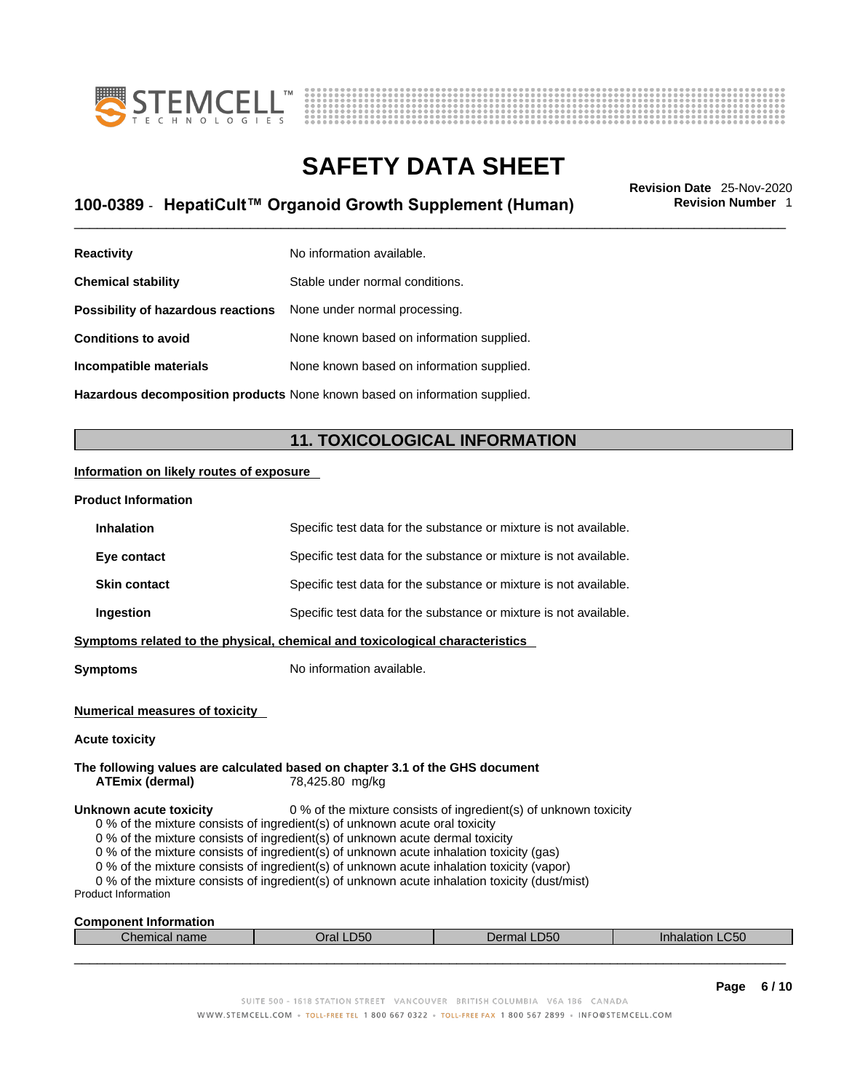



## \_\_\_\_\_\_\_\_\_\_\_\_\_\_\_\_\_\_\_\_\_\_\_\_\_\_\_\_\_\_\_\_\_\_\_\_\_\_\_\_\_\_\_\_\_\_\_\_\_\_\_\_\_\_\_\_\_\_\_\_\_\_\_\_\_\_\_\_\_\_\_\_\_\_\_\_\_\_\_\_\_\_\_\_\_\_\_\_\_\_\_\_\_ **Revision Date** 25-Nov-2020 **100-0389** - **HepatiCult™ Organoid Growth Supplement (Human) Revision Number** 1

| <b>Reactivity</b>                  | No information available.                 |
|------------------------------------|-------------------------------------------|
| <b>Chemical stability</b>          | Stable under normal conditions.           |
| Possibility of hazardous reactions | None under normal processing.             |
| <b>Conditions to avoid</b>         | None known based on information supplied. |
| Incompatible materials             | None known based on information supplied. |
|                                    |                                           |

**Hazardous decomposition products** None known based on information supplied.

### **11. TOXICOLOGICAL INFORMATION**

#### **Information on likely routes of exposure**

#### **Product Information**

| <b>Inhalation</b>                                                            | Specific test data for the substance or mixture is not available. |  |  |
|------------------------------------------------------------------------------|-------------------------------------------------------------------|--|--|
| Eye contact                                                                  | Specific test data for the substance or mixture is not available. |  |  |
| <b>Skin contact</b>                                                          | Specific test data for the substance or mixture is not available. |  |  |
| Ingestion                                                                    | Specific test data for the substance or mixture is not available. |  |  |
| Symptoms related to the physical, chemical and toxicological characteristics |                                                                   |  |  |

**Symptoms** No information available.

#### **Numerical measures of toxicity**

#### **Acute toxicity**

#### **The following values are calculated based on chapter 3.1 of the GHS document ATEmix (dermal)**78,425.80 mg/kg

#### **Unknown acute toxicity** 0 % of the mixture consists of ingredient(s) of unknown toxicity

0 % of the mixture consists of ingredient(s) of unknown acute oral toxicity

0 % of the mixture consists of ingredient(s) of unknown acute dermal toxicity

0 % of the mixture consists of ingredient(s) of unknown acute inhalation toxicity (gas)

0 % of the mixture consists of ingredient(s) of unknown acute inhalation toxicity (vapor)

0 % of the mixture consists of ingredient(s) of unknown acute inhalation toxicity (dust/mist)

Product Information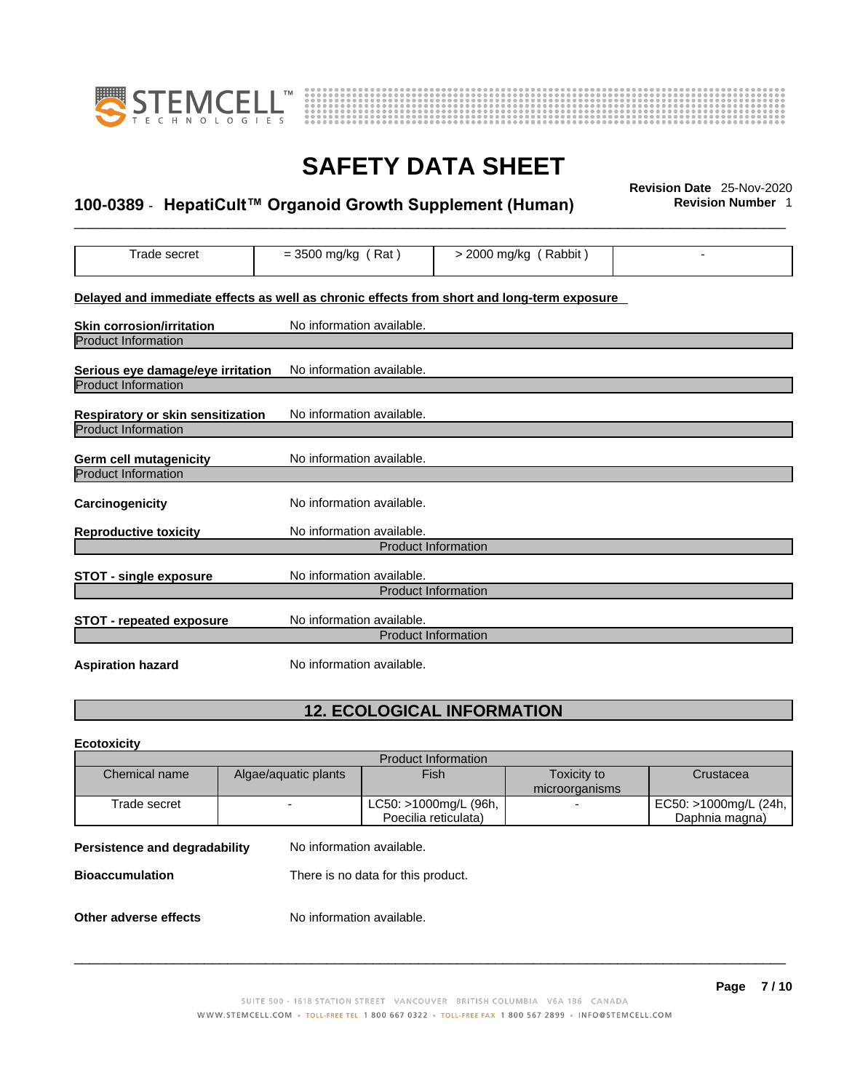



## \_\_\_\_\_\_\_\_\_\_\_\_\_\_\_\_\_\_\_\_\_\_\_\_\_\_\_\_\_\_\_\_\_\_\_\_\_\_\_\_\_\_\_\_\_\_\_\_\_\_\_\_\_\_\_\_\_\_\_\_\_\_\_\_\_\_\_\_\_\_\_\_\_\_\_\_\_\_\_\_\_\_\_\_\_\_\_\_\_\_\_\_\_ **Revision Date** 25-Nov-2020 **100-0389** - **HepatiCult™ Organoid Growth Supplement (Human) Revision Number** 1

| Trade secret                                                                               | $=$ 3500 mg/kg (Rat)       | $>$ 2000 mg/kg (Rabbit) |  |  |  |  |
|--------------------------------------------------------------------------------------------|----------------------------|-------------------------|--|--|--|--|
| Delayed and immediate effects as well as chronic effects from short and long-term exposure |                            |                         |  |  |  |  |
| <b>Skin corrosion/irritation</b>                                                           | No information available.  |                         |  |  |  |  |
| <b>Product Information</b>                                                                 |                            |                         |  |  |  |  |
| Serious eye damage/eye irritation                                                          | No information available.  |                         |  |  |  |  |
| <b>Product Information</b>                                                                 |                            |                         |  |  |  |  |
| Respiratory or skin sensitization                                                          | No information available.  |                         |  |  |  |  |
| <b>Product Information</b>                                                                 |                            |                         |  |  |  |  |
| <b>Germ cell mutagenicity</b>                                                              | No information available.  |                         |  |  |  |  |
| Product Information                                                                        |                            |                         |  |  |  |  |
| Carcinogenicity                                                                            | No information available.  |                         |  |  |  |  |
| <b>Reproductive toxicity</b>                                                               | No information available.  |                         |  |  |  |  |
|                                                                                            | <b>Product Information</b> |                         |  |  |  |  |
| STOT - single exposure                                                                     | No information available.  |                         |  |  |  |  |
|                                                                                            | <b>Product Information</b> |                         |  |  |  |  |
| <b>STOT - repeated exposure</b>                                                            | No information available.  |                         |  |  |  |  |
|                                                                                            | <b>Product Information</b> |                         |  |  |  |  |
| <b>Aspiration hazard</b>                                                                   | No information available.  |                         |  |  |  |  |

### **12. ECOLOGICAL INFORMATION**

**Ecotoxicity** 

| <b>Product Information</b>                                   |                           |                       |                |                       |
|--------------------------------------------------------------|---------------------------|-----------------------|----------------|-----------------------|
| Chemical name                                                | Algae/aquatic plants      | Fish                  | Toxicity to    | Crustacea             |
|                                                              |                           |                       | microorganisms |                       |
| Trade secret                                                 |                           | LC50: >1000mg/L (96h, | -              | EC50: >1000mg/L (24h, |
|                                                              |                           | Poecilia reticulata)  |                | Daphnia magna)        |
| Persistence and degradability                                | No information available. |                       |                |                       |
| There is no data for this product.<br><b>Bioaccumulation</b> |                           |                       |                |                       |
|                                                              |                           |                       |                |                       |
| No information available.<br>Other adverse effects           |                           |                       |                |                       |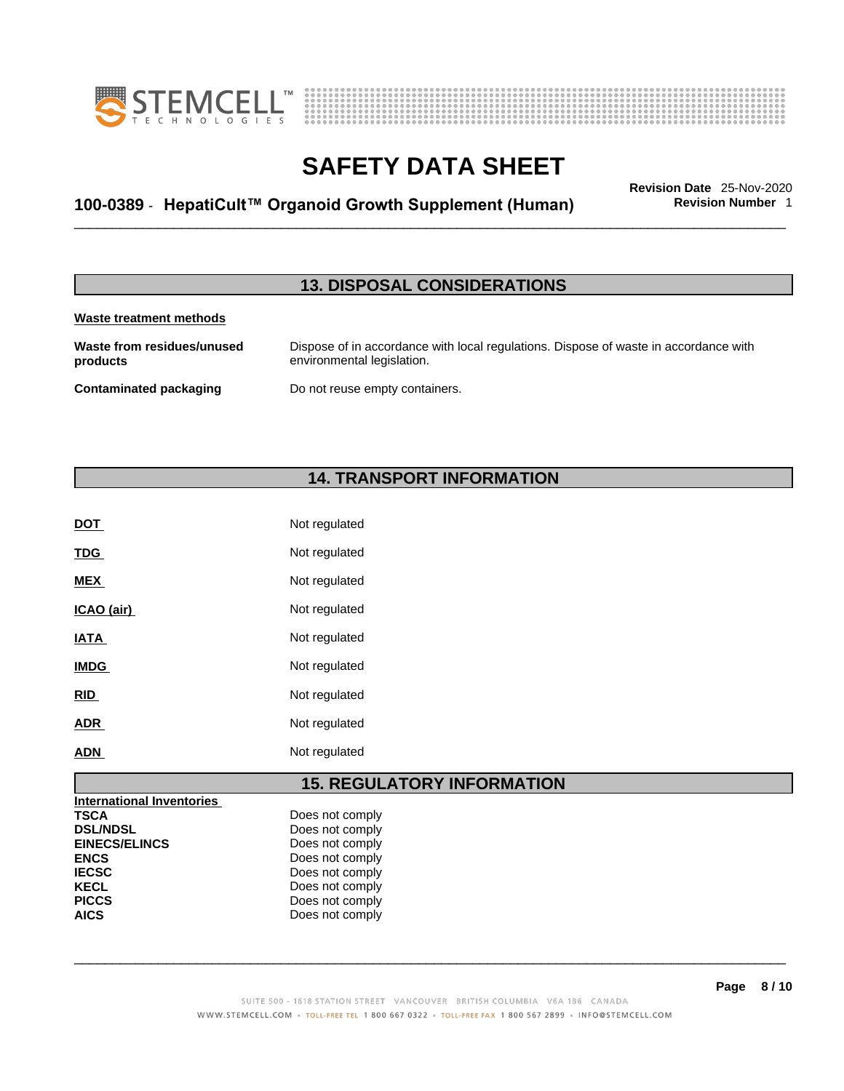



## \_\_\_\_\_\_\_\_\_\_\_\_\_\_\_\_\_\_\_\_\_\_\_\_\_\_\_\_\_\_\_\_\_\_\_\_\_\_\_\_\_\_\_\_\_\_\_\_\_\_\_\_\_\_\_\_\_\_\_\_\_\_\_\_\_\_\_\_\_\_\_\_\_\_\_\_\_\_\_\_\_\_\_\_\_\_\_\_\_\_\_\_\_ **Revision Date** 25-Nov-2020 **100-0389** - **HepatiCult™ Organoid Growth Supplement (Human) Revision Number** 1

### **13. DISPOSAL CONSIDERATIONS**

#### **Waste treatment methods**

**Waste from residues/unused products**  Dispose of in accordance with local regulations. Dispose of waste in accordance with environmental legislation. **Contaminated packaging** Do not reuse empty containers.

### **14. TRANSPORT INFORMATION**

| DOT         | Not regulated |
|-------------|---------------|
| <b>TDG</b>  | Not regulated |
| <b>MEX</b>  | Not regulated |
| ICAO (air)  | Not regulated |
| <b>IATA</b> | Not regulated |
| <b>IMDG</b> | Not regulated |
| <b>RID</b>  | Not regulated |
| <b>ADR</b>  | Not regulated |
| <b>ADN</b>  | Not regulated |

### **15. REGULATORY INFORMATION**

| <b>International Inventories</b> |                 |  |
|----------------------------------|-----------------|--|
| <b>TSCA</b>                      | Does not comply |  |
| <b>DSL/NDSL</b>                  | Does not comply |  |
| <b>EINECS/ELINCS</b>             | Does not comply |  |
| <b>ENCS</b>                      | Does not comply |  |
| <b>IECSC</b>                     | Does not comply |  |
| <b>KECL</b>                      | Does not comply |  |
| <b>PICCS</b>                     | Does not comply |  |
| <b>AICS</b>                      | Does not comply |  |
|                                  |                 |  |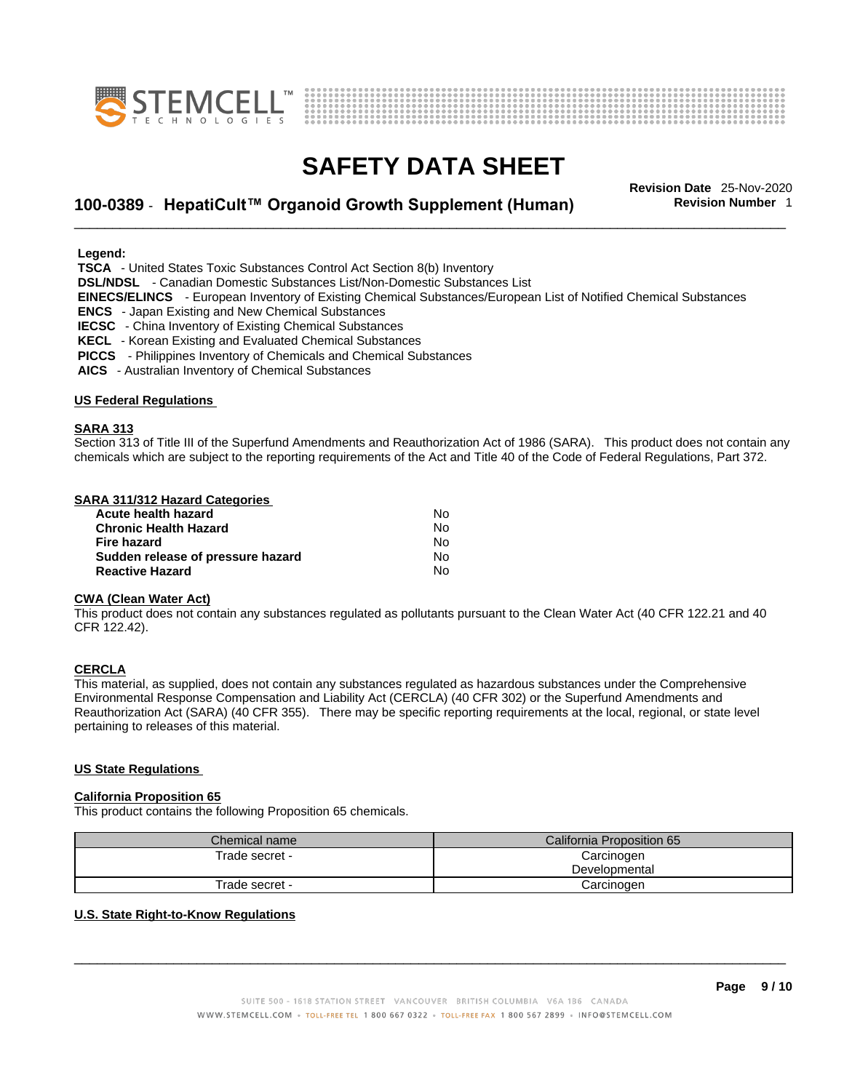



## \_\_\_\_\_\_\_\_\_\_\_\_\_\_\_\_\_\_\_\_\_\_\_\_\_\_\_\_\_\_\_\_\_\_\_\_\_\_\_\_\_\_\_\_\_\_\_\_\_\_\_\_\_\_\_\_\_\_\_\_\_\_\_\_\_\_\_\_\_\_\_\_\_\_\_\_\_\_\_\_\_\_\_\_\_\_\_\_\_\_\_\_\_ **Revision Date** 25-Nov-2020 **100-0389** - **HepatiCult™ Organoid Growth Supplement (Human) Revision Number** 1

 **Legend:** 

 **TSCA** - United States Toxic Substances Control Act Section 8(b) Inventory

 **DSL/NDSL** - Canadian Domestic Substances List/Non-Domestic Substances List

 **EINECS/ELINCS** - European Inventory of Existing Chemical Substances/European List of Notified Chemical Substances

 **ENCS** - Japan Existing and New Chemical Substances

 **IECSC** - China Inventory of Existing Chemical Substances

- **KECL**  Korean Existing and Evaluated Chemical Substances
- **PICCS**  Philippines Inventory of Chemicals and Chemical Substances

 **AICS** - Australian Inventory of Chemical Substances

#### **US Federal Regulations**

#### **SARA 313**

Section 313 of Title III of the Superfund Amendments and Reauthorization Act of 1986 (SARA). This product does not contain any chemicals which are subject to the reporting requirements of the Act and Title 40 of the Code of Federal Regulations, Part 372.

#### **SARA 311/312 Hazard Categories**

| Acute health hazard               | Nο |  |
|-----------------------------------|----|--|
| <b>Chronic Health Hazard</b>      | N٥ |  |
| Fire hazard                       | N٥ |  |
| Sudden release of pressure hazard | N٥ |  |
| <b>Reactive Hazard</b>            | N٥ |  |

#### **CWA (Clean WaterAct)**

This product does not contain any substances regulated as pollutants pursuant to the Clean Water Act (40 CFR 122.21 and 40 CFR 122.42).

#### **CERCLA**

This material, as supplied, does not contain any substances regulated as hazardous substances under the Comprehensive Environmental Response Compensation and Liability Act (CERCLA) (40 CFR 302) or the Superfund Amendments and Reauthorization Act (SARA) (40 CFR 355). There may be specific reporting requirements at the local, regional, or state level pertaining to releases of this material.

#### **US State Regulations**

#### **California Proposition 65**

This product contains the following Proposition 65 chemicals.

| Chemical name  | California Proposition 65 |  |
|----------------|---------------------------|--|
| Trade secret - | Carcinogen                |  |
|                | Developmental             |  |
| Trade secret - | Carcinogen                |  |

#### **U.S. State Right-to-Know Regulations**